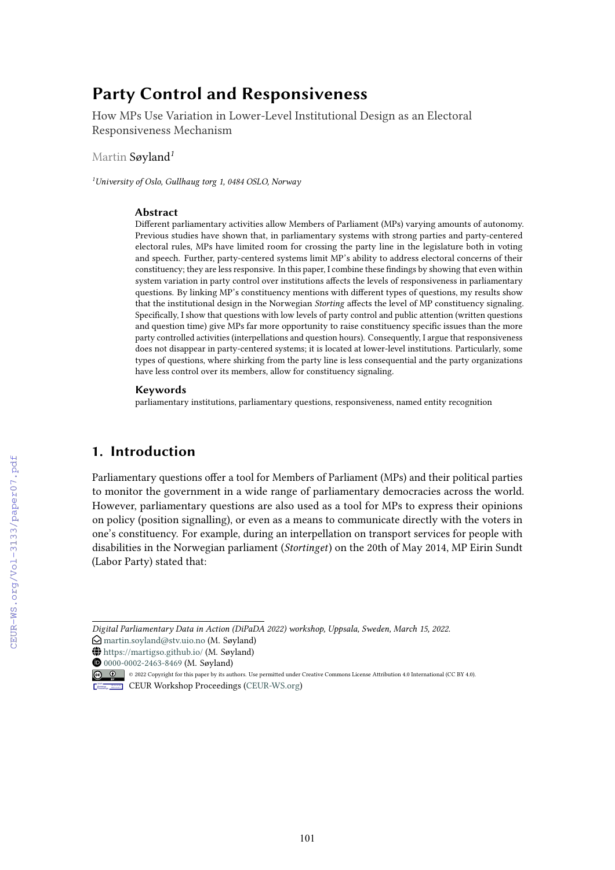# **Party Control and Responsiveness**

How MPs Use Variation in Lower-Level Institutional Design as an Electoral Responsiveness Mechanism

Martin Søyland*<sup>1</sup>*

*<sup>1</sup>University of Oslo, Gullhaug torg 1, 0484 OSLO, Norway*

### **Abstract**

Different parliamentary activities allow Members of Parliament (MPs) varying amounts of autonomy. Previous studies have shown that, in parliamentary systems with strong parties and party-centered electoral rules, MPs have limited room for crossing the party line in the legislature both in voting and speech. Further, party-centered systems limit MP's ability to address electoral concerns of their constituency; they are less responsive. In this paper, I combine these findings by showing that even within system variation in party control over institutions affects the levels of responsiveness in parliamentary questions. By linking MP's constituency mentions with different types of questions, my results show that the institutional design in the Norwegian *Storting* affects the level of MP constituency signaling. Specifically, I show that questions with low levels of party control and public attention (written questions and question time) give MPs far more opportunity to raise constituency specific issues than the more party controlled activities (interpellations and question hours). Consequently, I argue that responsiveness does not disappear in party-centered systems; it is located at lower-level institutions. Particularly, some types of questions, where shirking from the party line is less consequential and the party organizations have less control over its members, allow for constituency signaling.

#### **Keywords**

parliamentary institutions, parliamentary questions, responsiveness, named entity recognition

# **1. Introduction**

Parliamentary questions offer a tool for Members of Parliament (MPs) and their political parties to monitor the government in a wide range of parliamentary democracies across the world. However, parliamentary questions are also used as a tool for MPs to express their opinions on policy (position signalling), or even as a means to communicate directly with the voters in one's constituency. For example, during an interpellation on transport services for people with disabilities in the Norwegian parliament (*Stortinget*) on the 20th of May 2014, MP Eirin Sundt (Labor Party) stated that:

*Digital Parliamentary Data in Action (DiPaDA 2022) workshop, Uppsala, Sweden, March 15, 2022.*

 $\bigcirc$  [martin.soyland@stv.uio.no](mailto:martin.soyland@stv.uio.no) (M. Søyland)

 $\bigoplus$  <https://martigso.github.io/> (M. Søyland)

Orcid [0000-0002-2463-8469](https://orcid.org/0000-0002-2463-8469) (M. Søyland)

<sup>© 0 0222</sup> Copyright for this paper by its authors. Use permitted under Creative Commons License Attribution 4.0 International (CC BY 4.0). CEUR Workshop [Proceedings](http://ceur-ws.org) [\(CEUR-WS.org\)](http://ceur-ws.org)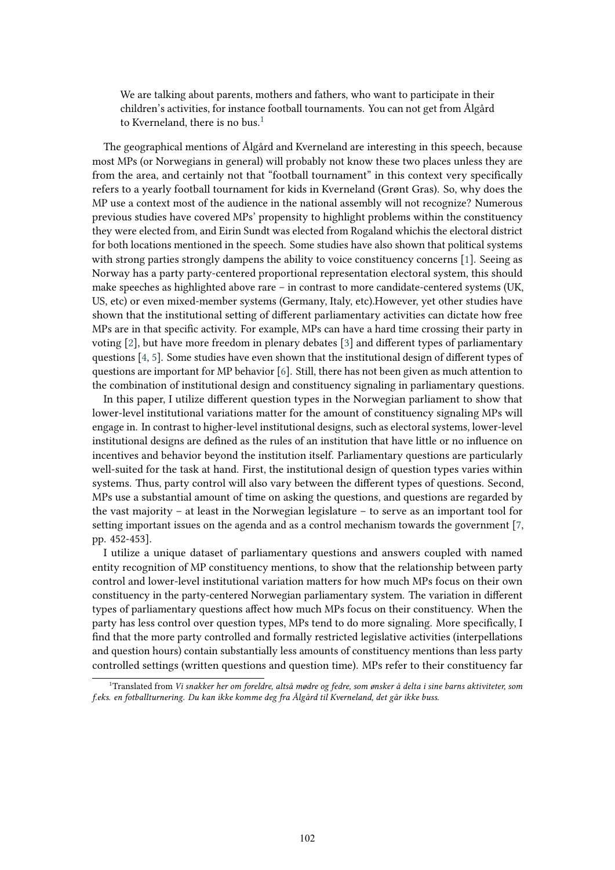We are talking about parents, mothers and fathers, who want to participate in their children's activities, for instance football tournaments. You can not get from Ålgård to Kverneland, there is no bus.<sup>[1](#page-1-0)</sup>

The geographical mentions of Ålgård and Kverneland are interesting in this speech, because most MPs (or Norwegians in general) will probably not know these two places unless they are from the area, and certainly not that "football tournament" in this context very specifically refers to a yearly football tournament for kids in Kverneland (Grønt Gras). So, why does the MP use a context most of the audience in the national assembly will not recognize? Numerous previous studies have covered MPs' propensity to highlight problems within the constituency they were elected from, and Eirin Sundt was elected from Rogaland whichis the electoral district for both locations mentioned in the speech. Some studies have also shown that political systems with strong parties strongly dampens the ability to voice constituency concerns [\[1\]](#page-15-0). Seeing as Norway has a party party-centered proportional representation electoral system, this should make speeches as highlighted above rare – in contrast to more candidate-centered systems (UK, US, etc) or even mixed-member systems (Germany, Italy, etc).However, yet other studies have shown that the institutional setting of different parliamentary activities can dictate how free MPs are in that specific activity. For example, MPs can have a hard time crossing their party in voting [\[2\]](#page-15-1), but have more freedom in plenary debates [\[3\]](#page-15-2) and different types of parliamentary questions [\[4,](#page-15-3) [5\]](#page-15-4). Some studies have even shown that the institutional design of different types of questions are important for MP behavior [\[6\]](#page-15-5). Still, there has not been given as much attention to the combination of institutional design and constituency signaling in parliamentary questions.

In this paper, I utilize different question types in the Norwegian parliament to show that lower-level institutional variations matter for the amount of constituency signaling MPs will engage in. In contrast to higher-level institutional designs, such as electoral systems, lower-level institutional designs are defined as the rules of an institution that have little or no influence on incentives and behavior beyond the institution itself. Parliamentary questions are particularly well-suited for the task at hand. First, the institutional design of question types varies within systems. Thus, party control will also vary between the different types of questions. Second, MPs use a substantial amount of time on asking the questions, and questions are regarded by the vast majority – at least in the Norwegian legislature – to serve as an important tool for setting important issues on the agenda and as a control mechanism towards the government [\[7,](#page-15-6) pp. 452-453].

I utilize a unique dataset of parliamentary questions and answers coupled with named entity recognition of MP constituency mentions, to show that the relationship between party control and lower-level institutional variation matters for how much MPs focus on their own constituency in the party-centered Norwegian parliamentary system. The variation in different types of parliamentary questions affect how much MPs focus on their constituency. When the party has less control over question types, MPs tend to do more signaling. More specifically, I find that the more party controlled and formally restricted legislative activities (interpellations and question hours) contain substantially less amounts of constituency mentions than less party controlled settings (written questions and question time). MPs refer to their constituency far

<span id="page-1-0"></span><sup>1</sup>Translated from *Vi snakker her om foreldre, altså mødre og fedre, som ønsker å delta i sine barns aktiviteter, som f.eks. en fotballturnering. Du kan ikke komme deg fra Ålgård til Kverneland, det går ikke buss.*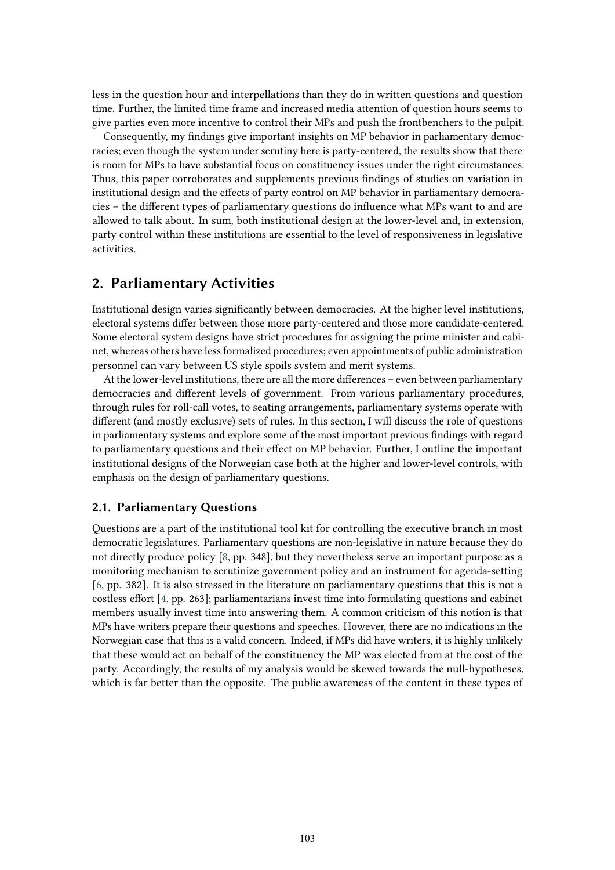less in the question hour and interpellations than they do in written questions and question time. Further, the limited time frame and increased media attention of question hours seems to give parties even more incentive to control their MPs and push the frontbenchers to the pulpit.

Consequently, my findings give important insights on MP behavior in parliamentary democracies; even though the system under scrutiny here is party-centered, the results show that there is room for MPs to have substantial focus on constituency issues under the right circumstances. Thus, this paper corroborates and supplements previous findings of studies on variation in institutional design and the effects of party control on MP behavior in parliamentary democracies – the different types of parliamentary questions do influence what MPs want to and are allowed to talk about. In sum, both institutional design at the lower-level and, in extension, party control within these institutions are essential to the level of responsiveness in legislative activities.

# **2. Parliamentary Activities**

Institutional design varies significantly between democracies. At the higher level institutions, electoral systems differ between those more party-centered and those more candidate-centered. Some electoral system designs have strict procedures for assigning the prime minister and cabinet, whereas others have less formalized procedures; even appointments of public administration personnel can vary between US style spoils system and merit systems.

At the lower-level institutions, there are all the more differences – even between parliamentary democracies and different levels of government. From various parliamentary procedures, through rules for roll-call votes, to seating arrangements, parliamentary systems operate with different (and mostly exclusive) sets of rules. In this section, I will discuss the role of questions in parliamentary systems and explore some of the most important previous findings with regard to parliamentary questions and their effect on MP behavior. Further, I outline the important institutional designs of the Norwegian case both at the higher and lower-level controls, with emphasis on the design of parliamentary questions.

### **2.1. Parliamentary Questions**

Questions are a part of the institutional tool kit for controlling the executive branch in most democratic legislatures. Parliamentary questions are non-legislative in nature because they do not directly produce policy [\[8,](#page-15-7) pp. 348], but they nevertheless serve an important purpose as a monitoring mechanism to scrutinize government policy and an instrument for agenda-setting [\[6,](#page-15-5) pp. 382]. It is also stressed in the literature on parliamentary questions that this is not a costless effort [\[4,](#page-15-3) pp. 263]; parliamentarians invest time into formulating questions and cabinet members usually invest time into answering them. A common criticism of this notion is that MPs have writers prepare their questions and speeches. However, there are no indications in the Norwegian case that this is a valid concern. Indeed, if MPs did have writers, it is highly unlikely that these would act on behalf of the constituency the MP was elected from at the cost of the party. Accordingly, the results of my analysis would be skewed towards the null-hypotheses, which is far better than the opposite. The public awareness of the content in these types of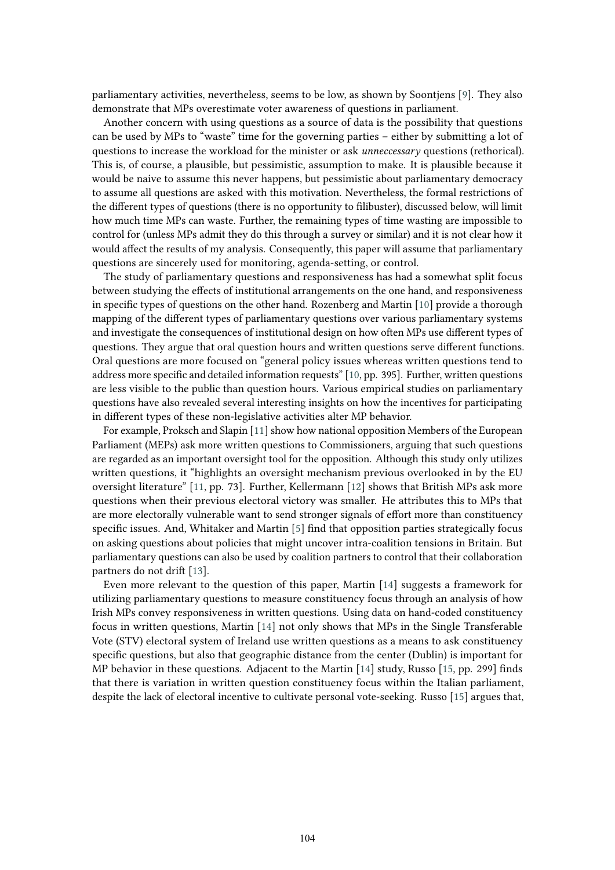parliamentary activities, nevertheless, seems to be low, as shown by Soontjens [\[9\]](#page-16-0). They also demonstrate that MPs overestimate voter awareness of questions in parliament.

Another concern with using questions as a source of data is the possibility that questions can be used by MPs to "waste" time for the governing parties – either by submitting a lot of questions to increase the workload for the minister or ask *unneccessary* questions (rethorical). This is, of course, a plausible, but pessimistic, assumption to make. It is plausible because it would be naive to assume this never happens, but pessimistic about parliamentary democracy to assume all questions are asked with this motivation. Nevertheless, the formal restrictions of the different types of questions (there is no opportunity to filibuster), discussed below, will limit how much time MPs can waste. Further, the remaining types of time wasting are impossible to control for (unless MPs admit they do this through a survey or similar) and it is not clear how it would affect the results of my analysis. Consequently, this paper will assume that parliamentary questions are sincerely used for monitoring, agenda-setting, or control.

The study of parliamentary questions and responsiveness has had a somewhat split focus between studying the effects of institutional arrangements on the one hand, and responsiveness in specific types of questions on the other hand. Rozenberg and Martin [\[10\]](#page-16-1) provide a thorough mapping of the different types of parliamentary questions over various parliamentary systems and investigate the consequences of institutional design on how often MPs use different types of questions. They argue that oral question hours and written questions serve different functions. Oral questions are more focused on "general policy issues whereas written questions tend to address more specific and detailed information requests" [\[10,](#page-16-1) pp. 395]. Further, written questions are less visible to the public than question hours. Various empirical studies on parliamentary questions have also revealed several interesting insights on how the incentives for participating in different types of these non-legislative activities alter MP behavior.

For example, Proksch and Slapin [\[11\]](#page-16-2) show how national opposition Members of the European Parliament (MEPs) ask more written questions to Commissioners, arguing that such questions are regarded as an important oversight tool for the opposition. Although this study only utilizes written questions, it "highlights an oversight mechanism previous overlooked in by the EU oversight literature" [\[11,](#page-16-2) pp. 73]. Further, Kellermann [\[12\]](#page-16-3) shows that British MPs ask more questions when their previous electoral victory was smaller. He attributes this to MPs that are more electorally vulnerable want to send stronger signals of effort more than constituency specific issues. And, Whitaker and Martin [\[5\]](#page-15-4) find that opposition parties strategically focus on asking questions about policies that might uncover intra-coalition tensions in Britain. But parliamentary questions can also be used by coalition partners to control that their collaboration partners do not drift [\[13\]](#page-16-4).

Even more relevant to the question of this paper, Martin [\[14\]](#page-16-5) suggests a framework for utilizing parliamentary questions to measure constituency focus through an analysis of how Irish MPs convey responsiveness in written questions. Using data on hand-coded constituency focus in written questions, Martin [\[14\]](#page-16-5) not only shows that MPs in the Single Transferable Vote (STV) electoral system of Ireland use written questions as a means to ask constituency specific questions, but also that geographic distance from the center (Dublin) is important for MP behavior in these questions. Adjacent to the Martin [\[14\]](#page-16-5) study, Russo [\[15,](#page-16-6) pp. 299] finds that there is variation in written question constituency focus within the Italian parliament, despite the lack of electoral incentive to cultivate personal vote-seeking. Russo [\[15\]](#page-16-6) argues that,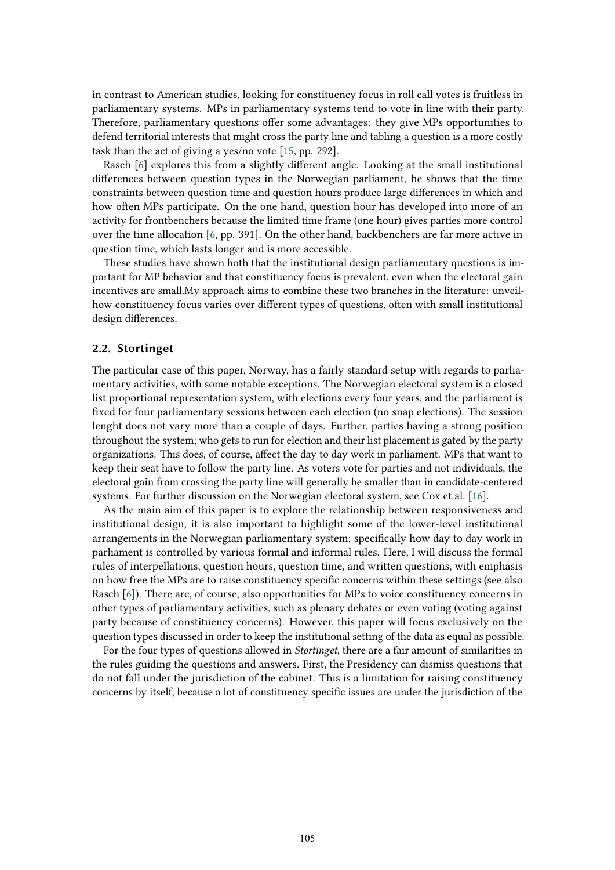in contrast to American studies, looking for constituency focus in roll call votes is fruitless in parliamentary systems. MPs in parliamentary systems tend to vote in line with their party. Therefore, parliamentary questions offer some advantages: they give MPs opportunities to defend territorial interests that might cross the party line and tabling a question is a more costly task than the act of giving a yes/no vote [\[15,](#page-16-6) pp. 292].

Rasch [\[6\]](#page-15-5) explores this from a slightly different angle. Looking at the small institutional differences between question types in the Norwegian parliament, he shows that the time constraints between question time and question hours produce large differences in which and how often MPs participate. On the one hand, question hour has developed into more of an activity for frontbenchers because the limited time frame (one hour) gives parties more control over the time allocation [\[6,](#page-15-5) pp. 391]. On the other hand, backbenchers are far more active in question time, which lasts longer and is more accessible.

These studies have shown both that the institutional design parliamentary questions is important for MP behavior and that constituency focus is prevalent, even when the electoral gain incentives are small.My approach aims to combine these two branches in the literature: unveilhow constituency focus varies over different types of questions, often with small institutional design differences.

### **2.2. Stortinget**

The particular case of this paper, Norway, has a fairly standard setup with regards to parliamentary activities, with some notable exceptions. The Norwegian electoral system is a closed list proportional representation system, with elections every four years, and the parliament is fixed for four parliamentary sessions between each election (no snap elections). The session lenght does not vary more than a couple of days. Further, parties having a strong position throughout the system; who gets to run for election and their list placement is gated by the party organizations. This does, of course, affect the day to day work in parliament. MPs that want to keep their seat have to follow the party line. As voters vote for parties and not individuals, the electoral gain from crossing the party line will generally be smaller than in candidate-centered systems. For further discussion on the Norwegian electoral system, see Cox et al. [\[16\]](#page-16-7).

As the main aim of this paper is to explore the relationship between responsiveness and institutional design, it is also important to highlight some of the lower-level institutional arrangements in the Norwegian parliamentary system; specifically how day to day work in parliament is controlled by various formal and informal rules. Here, I will discuss the formal rules of interpellations, question hours, question time, and written questions, with emphasis on how free the MPs are to raise constituency specific concerns within these settings (see also Rasch [\[6\]](#page-15-5)). There are, of course, also opportunities for MPs to voice constituency concerns in other types of parliamentary activities, such as plenary debates or even voting (voting against party because of constituency concerns). However, this paper will focus exclusively on the question types discussed in order to keep the institutional setting of the data as equal as possible.

For the four types of questions allowed in *Stortinget*, there are a fair amount of similarities in the rules guiding the questions and answers. First, the Presidency can dismiss questions that do not fall under the jurisdiction of the cabinet. This is a limitation for raising constituency concerns by itself, because a lot of constituency specific issues are under the jurisdiction of the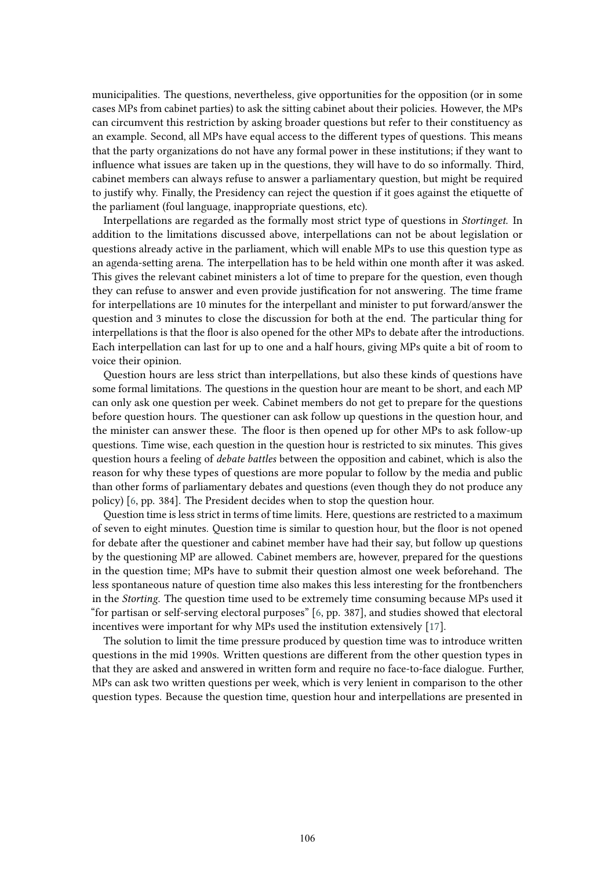municipalities. The questions, nevertheless, give opportunities for the opposition (or in some cases MPs from cabinet parties) to ask the sitting cabinet about their policies. However, the MPs can circumvent this restriction by asking broader questions but refer to their constituency as an example. Second, all MPs have equal access to the different types of questions. This means that the party organizations do not have any formal power in these institutions; if they want to influence what issues are taken up in the questions, they will have to do so informally. Third, cabinet members can always refuse to answer a parliamentary question, but might be required to justify why. Finally, the Presidency can reject the question if it goes against the etiquette of the parliament (foul language, inappropriate questions, etc).

Interpellations are regarded as the formally most strict type of questions in *Stortinget*. In addition to the limitations discussed above, interpellations can not be about legislation or questions already active in the parliament, which will enable MPs to use this question type as an agenda-setting arena. The interpellation has to be held within one month after it was asked. This gives the relevant cabinet ministers a lot of time to prepare for the question, even though they can refuse to answer and even provide justification for not answering. The time frame for interpellations are 10 minutes for the interpellant and minister to put forward/answer the question and 3 minutes to close the discussion for both at the end. The particular thing for interpellations is that the floor is also opened for the other MPs to debate after the introductions. Each interpellation can last for up to one and a half hours, giving MPs quite a bit of room to voice their opinion.

Question hours are less strict than interpellations, but also these kinds of questions have some formal limitations. The questions in the question hour are meant to be short, and each MP can only ask one question per week. Cabinet members do not get to prepare for the questions before question hours. The questioner can ask follow up questions in the question hour, and the minister can answer these. The floor is then opened up for other MPs to ask follow-up questions. Time wise, each question in the question hour is restricted to six minutes. This gives question hours a feeling of *debate battles* between the opposition and cabinet, which is also the reason for why these types of questions are more popular to follow by the media and public than other forms of parliamentary debates and questions (even though they do not produce any policy) [\[6,](#page-15-5) pp. 384]. The President decides when to stop the question hour.

Question time is less strict in terms of time limits. Here, questions are restricted to a maximum of seven to eight minutes. Question time is similar to question hour, but the floor is not opened for debate after the questioner and cabinet member have had their say, but follow up questions by the questioning MP are allowed. Cabinet members are, however, prepared for the questions in the question time; MPs have to submit their question almost one week beforehand. The less spontaneous nature of question time also makes this less interesting for the frontbenchers in the *Storting*. The question time used to be extremely time consuming because MPs used it "for partisan or self-serving electoral purposes" [\[6,](#page-15-5) pp. 387], and studies showed that electoral incentives were important for why MPs used the institution extensively [\[17\]](#page-16-8).

The solution to limit the time pressure produced by question time was to introduce written questions in the mid 1990s. Written questions are different from the other question types in that they are asked and answered in written form and require no face-to-face dialogue. Further, MPs can ask two written questions per week, which is very lenient in comparison to the other question types. Because the question time, question hour and interpellations are presented in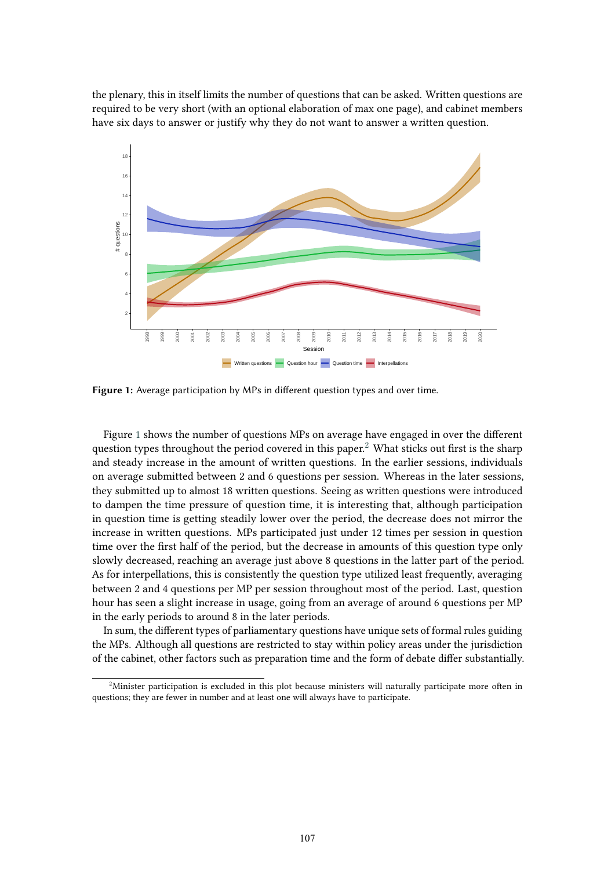the plenary, this in itself limits the number of questions that can be asked. Written questions are required to be very short (with an optional elaboration of max one page), and cabinet members have six days to answer or justify why they do not want to answer a written question.



<span id="page-6-0"></span>**Figure 1:** Average participation by MPs in different question types and over time.

Figure [1](#page-6-0) shows the number of questions MPs on average have engaged in over the different question types throughout the period covered in this paper.<sup>[2](#page-6-1)</sup> What sticks out first is the sharp and steady increase in the amount of written questions. In the earlier sessions, individuals on average submitted between 2 and 6 questions per session. Whereas in the later sessions, they submitted up to almost 18 written questions. Seeing as written questions were introduced to dampen the time pressure of question time, it is interesting that, although participation in question time is getting steadily lower over the period, the decrease does not mirror the increase in written questions. MPs participated just under 12 times per session in question time over the first half of the period, but the decrease in amounts of this question type only slowly decreased, reaching an average just above 8 questions in the latter part of the period. As for interpellations, this is consistently the question type utilized least frequently, averaging between 2 and 4 questions per MP per session throughout most of the period. Last, question hour has seen a slight increase in usage, going from an average of around 6 questions per MP in the early periods to around 8 in the later periods.

In sum, the different types of parliamentary questions have unique sets of formal rules guiding the MPs. Although all questions are restricted to stay within policy areas under the jurisdiction of the cabinet, other factors such as preparation time and the form of debate differ substantially.

<span id="page-6-1"></span><sup>&</sup>lt;sup>2</sup>Minister participation is excluded in this plot because ministers will naturally participate more often in questions; they are fewer in number and at least one will always have to participate.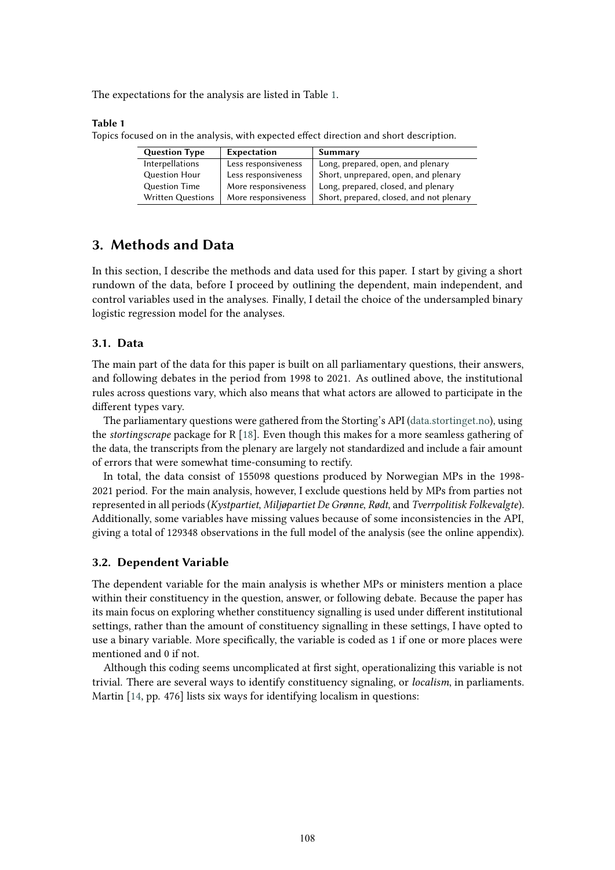The expectations for the analysis are listed in Table [1.](#page-7-0)

#### <span id="page-7-0"></span>**Table 1**

Topics focused on in the analysis, with expected effect direction and short description.

| <b>Question Type</b> | Expectation         | Summary                                  |
|----------------------|---------------------|------------------------------------------|
| Interpellations      | Less responsiveness | Long, prepared, open, and plenary        |
| <b>Question Hour</b> | Less responsiveness | Short, unprepared, open, and plenary     |
| <b>Question Time</b> | More responsiveness | Long, prepared, closed, and plenary      |
| Written Questions    | More responsiveness | Short, prepared, closed, and not plenary |

# **3. Methods and Data**

In this section, I describe the methods and data used for this paper. I start by giving a short rundown of the data, before I proceed by outlining the dependent, main independent, and control variables used in the analyses. Finally, I detail the choice of the undersampled binary logistic regression model for the analyses.

### **3.1. Data**

The main part of the data for this paper is built on all parliamentary questions, their answers, and following debates in the period from 1998 to 2021. As outlined above, the institutional rules across questions vary, which also means that what actors are allowed to participate in the different types vary.

The parliamentary questions were gathered from the Storting's API [\(data.stortinget.no\)](data.stortinget.no), using the *stortingscrape* package for R [\[18\]](#page-16-9). Even though this makes for a more seamless gathering of the data, the transcripts from the plenary are largely not standardized and include a fair amount of errors that were somewhat time-consuming to rectify.

In total, the data consist of 155098 questions produced by Norwegian MPs in the 1998- 2021 period. For the main analysis, however, I exclude questions held by MPs from parties not represented in all periods (*Kystpartiet*, *Miljøpartiet De Grønne*, *Rødt*, and *Tverrpolitisk Folkevalgte*). Additionally, some variables have missing values because of some inconsistencies in the API, giving a total of 129348 observations in the full model of the analysis (see the online appendix).

#### **3.2. Dependent Variable**

The dependent variable for the main analysis is whether MPs or ministers mention a place within their constituency in the question, answer, or following debate. Because the paper has its main focus on exploring whether constituency signalling is used under different institutional settings, rather than the amount of constituency signalling in these settings, I have opted to use a binary variable. More specifically, the variable is coded as 1 if one or more places were mentioned and 0 if not.

Although this coding seems uncomplicated at first sight, operationalizing this variable is not trivial. There are several ways to identify constituency signaling, or *localism*, in parliaments. Martin [\[14,](#page-16-5) pp. 476] lists six ways for identifying localism in questions: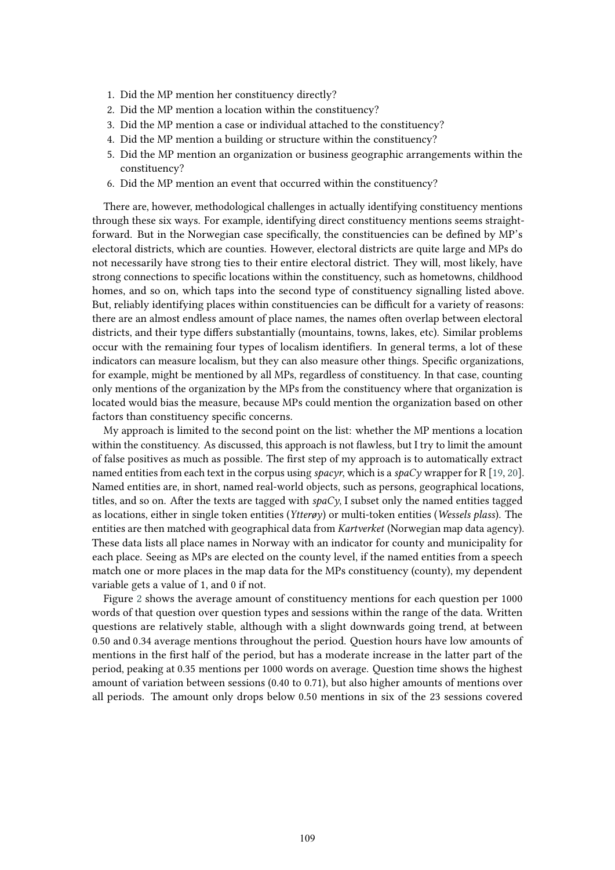- 1. Did the MP mention her constituency directly?
- 2. Did the MP mention a location within the constituency?
- 3. Did the MP mention a case or individual attached to the constituency?
- 4. Did the MP mention a building or structure within the constituency?
- 5. Did the MP mention an organization or business geographic arrangements within the constituency?
- 6. Did the MP mention an event that occurred within the constituency?

There are, however, methodological challenges in actually identifying constituency mentions through these six ways. For example, identifying direct constituency mentions seems straightforward. But in the Norwegian case specifically, the constituencies can be defined by MP's electoral districts, which are counties. However, electoral districts are quite large and MPs do not necessarily have strong ties to their entire electoral district. They will, most likely, have strong connections to specific locations within the constituency, such as hometowns, childhood homes, and so on, which taps into the second type of constituency signalling listed above. But, reliably identifying places within constituencies can be difficult for a variety of reasons: there are an almost endless amount of place names, the names often overlap between electoral districts, and their type differs substantially (mountains, towns, lakes, etc). Similar problems occur with the remaining four types of localism identifiers. In general terms, a lot of these indicators can measure localism, but they can also measure other things. Specific organizations, for example, might be mentioned by all MPs, regardless of constituency. In that case, counting only mentions of the organization by the MPs from the constituency where that organization is located would bias the measure, because MPs could mention the organization based on other factors than constituency specific concerns.

My approach is limited to the second point on the list: whether the MP mentions a location within the constituency. As discussed, this approach is not flawless, but I try to limit the amount of false positives as much as possible. The first step of my approach is to automatically extract named entities from each text in the corpus using *spacyr*, which is a *spaCy* wrapper for R [\[19,](#page-16-10) [20\]](#page-16-11). Named entities are, in short, named real-world objects, such as persons, geographical locations, titles, and so on. After the texts are tagged with  $spaCy$ , I subset only the named entities tagged as locations, either in single token entities (*Ytterøy*) or multi-token entities (*Wessels plass*). The entities are then matched with geographical data from *Kartverket* (Norwegian map data agency). These data lists all place names in Norway with an indicator for county and municipality for each place. Seeing as MPs are elected on the county level, if the named entities from a speech match one or more places in the map data for the MPs constituency (county), my dependent variable gets a value of 1, and 0 if not.

Figure [2](#page-9-0) shows the average amount of constituency mentions for each question per 1000 words of that question over question types and sessions within the range of the data. Written questions are relatively stable, although with a slight downwards going trend, at between 0.50 and 0.34 average mentions throughout the period. Question hours have low amounts of mentions in the first half of the period, but has a moderate increase in the latter part of the period, peaking at 0.35 mentions per 1000 words on average. Question time shows the highest amount of variation between sessions (0.40 to 0.71), but also higher amounts of mentions over all periods. The amount only drops below 0.50 mentions in six of the 23 sessions covered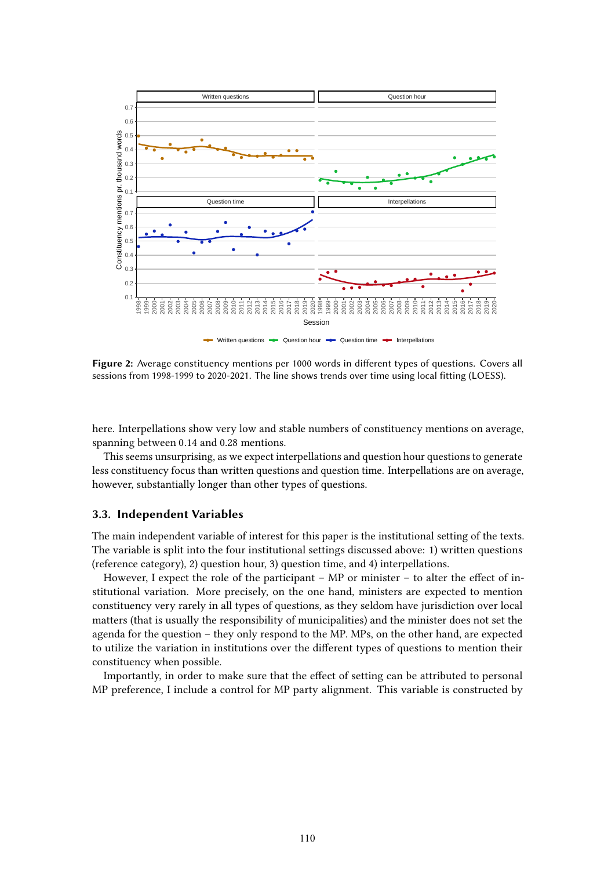

<span id="page-9-0"></span>**Figure 2:** Average constituency mentions per 1000 words in different types of questions. Covers all sessions from 1998-1999 to 2020-2021. The line shows trends over time using local fitting (LOESS).

here. Interpellations show very low and stable numbers of constituency mentions on average, spanning between 0.14 and 0.28 mentions.

This seems unsurprising, as we expect interpellations and question hour questions to generate less constituency focus than written questions and question time. Interpellations are on average, however, substantially longer than other types of questions.

### **3.3. Independent Variables**

The main independent variable of interest for this paper is the institutional setting of the texts. The variable is split into the four institutional settings discussed above: 1) written questions (reference category), 2) question hour, 3) question time, and 4) interpellations.

However, I expect the role of the participant – MP or minister – to alter the effect of institutional variation. More precisely, on the one hand, ministers are expected to mention constituency very rarely in all types of questions, as they seldom have jurisdiction over local matters (that is usually the responsibility of municipalities) and the minister does not set the agenda for the question – they only respond to the MP. MPs, on the other hand, are expected to utilize the variation in institutions over the different types of questions to mention their constituency when possible.

Importantly, in order to make sure that the effect of setting can be attributed to personal MP preference, I include a control for MP party alignment. This variable is constructed by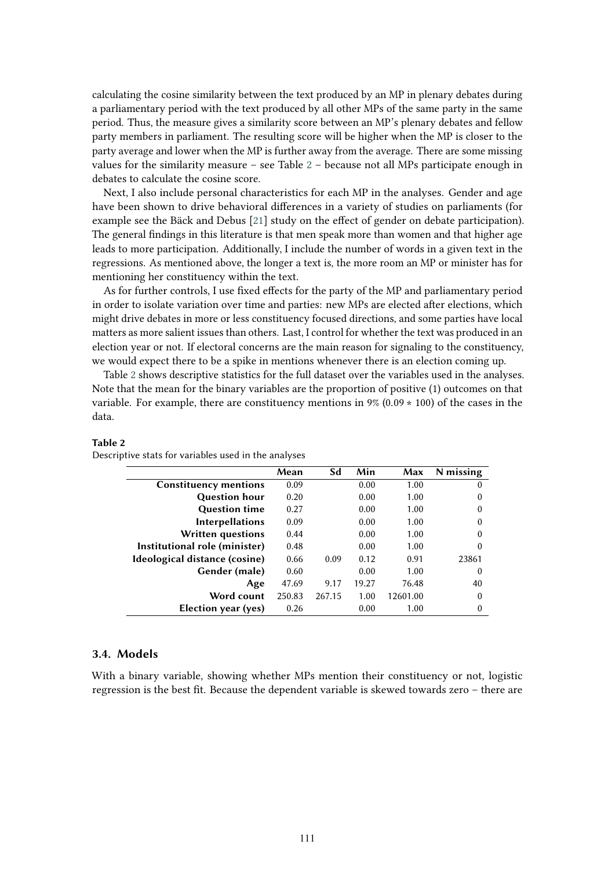calculating the cosine similarity between the text produced by an MP in plenary debates during a parliamentary period with the text produced by all other MPs of the same party in the same period. Thus, the measure gives a similarity score between an MP's plenary debates and fellow party members in parliament. The resulting score will be higher when the MP is closer to the party average and lower when the MP is further away from the average. There are some missing values for the similarity measure – see Table [2](#page-10-0) – because not all MPs participate enough in debates to calculate the cosine score.

Next, I also include personal characteristics for each MP in the analyses. Gender and age have been shown to drive behavioral differences in a variety of studies on parliaments (for example see the Bäck and Debus [\[21\]](#page-16-12) study on the effect of gender on debate participation). The general findings in this literature is that men speak more than women and that higher age leads to more participation. Additionally, I include the number of words in a given text in the regressions. As mentioned above, the longer a text is, the more room an MP or minister has for mentioning her constituency within the text.

As for further controls, I use fixed effects for the party of the MP and parliamentary period in order to isolate variation over time and parties: new MPs are elected after elections, which might drive debates in more or less constituency focused directions, and some parties have local matters as more salient issues than others. Last, I control for whether the text was produced in an election year or not. If electoral concerns are the main reason for signaling to the constituency, we would expect there to be a spike in mentions whenever there is an election coming up.

Table [2](#page-10-0) shows descriptive statistics for the full dataset over the variables used in the analyses. Note that the mean for the binary variables are the proportion of positive (1) outcomes on that variable. For example, there are constituency mentions in  $9\%$  (0.09  $\star$  100) of the cases in the data.

|                               | Mean   | Sd     | Min   | Max      | N missing |
|-------------------------------|--------|--------|-------|----------|-----------|
| <b>Constituency mentions</b>  | 0.09   |        | 0.00  | 1.00     | 0         |
| <b>Question hour</b>          | 0.20   |        | 0.00  | 1.00     | $\theta$  |
| <b>Question time</b>          | 0.27   |        | 0.00  | 1.00     | $\theta$  |
| <b>Interpellations</b>        | 0.09   |        | 0.00  | 1.00     | $\theta$  |
| <b>Written questions</b>      | 0.44   |        | 0.00  | 1.00     | $\theta$  |
| Institutional role (minister) | 0.48   |        | 0.00  | 1.00     | $\Omega$  |
| Ideological distance (cosine) | 0.66   | 0.09   | 0.12  | 0.91     | 23861     |
| Gender (male)                 | 0.60   |        | 0.00  | 1.00     | $\theta$  |
| Age                           | 47.69  | 9.17   | 19.27 | 76.48    | 40        |
| Word count                    | 250.83 | 267.15 | 1.00  | 12601.00 | $\theta$  |
| Election year (yes)           | 0.26   |        | 0.00  | 1.00     | $\theta$  |
|                               |        |        |       |          |           |

#### <span id="page-10-0"></span>**Table 2**

| Descriptive stats for variables used in the analyses |
|------------------------------------------------------|
|------------------------------------------------------|

### **3.4. Models**

With a binary variable, showing whether MPs mention their constituency or not, logistic regression is the best fit. Because the dependent variable is skewed towards zero – there are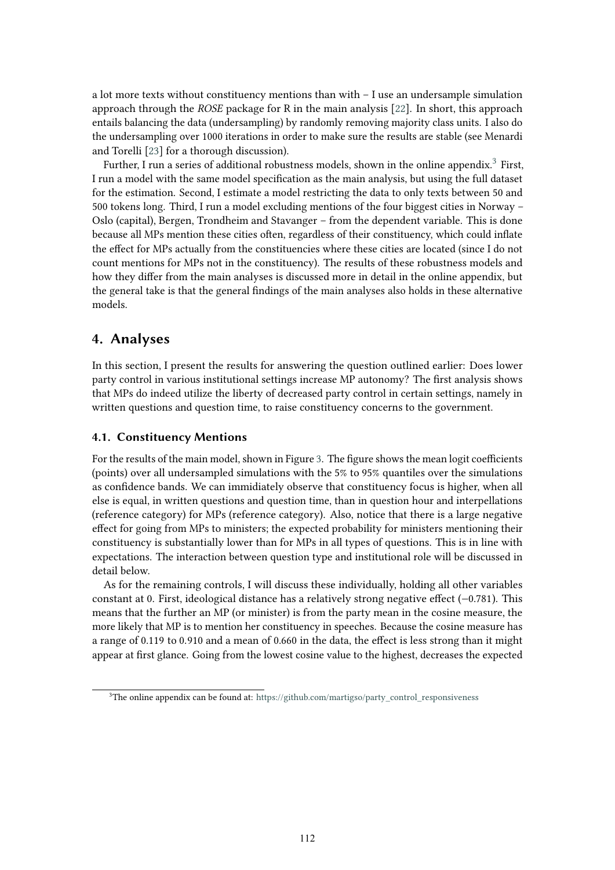a lot more texts without constituency mentions than with – I use an undersample simulation approach through the *ROSE* package for R in the main analysis [\[22\]](#page-16-13). In short, this approach entails balancing the data (undersampling) by randomly removing majority class units. I also do the undersampling over 1000 iterations in order to make sure the results are stable (see Menardi and Torelli [\[23\]](#page-16-14) for a thorough discussion).

Further, I run a series of additional robustness models, shown in the online appendix. $^3$  $^3$  First, I run a model with the same model specification as the main analysis, but using the full dataset for the estimation. Second, I estimate a model restricting the data to only texts between 50 and 500 tokens long. Third, I run a model excluding mentions of the four biggest cities in Norway – Oslo (capital), Bergen, Trondheim and Stavanger – from the dependent variable. This is done because all MPs mention these cities often, regardless of their constituency, which could inflate the effect for MPs actually from the constituencies where these cities are located (since I do not count mentions for MPs not in the constituency). The results of these robustness models and how they differ from the main analyses is discussed more in detail in the online appendix, but the general take is that the general findings of the main analyses also holds in these alternative models.

# **4. Analyses**

In this section, I present the results for answering the question outlined earlier: Does lower party control in various institutional settings increase MP autonomy? The first analysis shows that MPs do indeed utilize the liberty of decreased party control in certain settings, namely in written questions and question time, to raise constituency concerns to the government.

### **4.1. Constituency Mentions**

For the results of the main model, shown in Figure [3.](#page-12-0) The figure shows the mean logit coefficients (points) over all undersampled simulations with the 5% to 95% quantiles over the simulations as confidence bands. We can immidiately observe that constituency focus is higher, when all else is equal, in written questions and question time, than in question hour and interpellations (reference category) for MPs (reference category). Also, notice that there is a large negative effect for going from MPs to ministers; the expected probability for ministers mentioning their constituency is substantially lower than for MPs in all types of questions. This is in line with expectations. The interaction between question type and institutional role will be discussed in detail below.

As for the remaining controls, I will discuss these individually, holding all other variables constant at 0. First, ideological distance has a relatively strong negative effect (−0.781). This means that the further an MP (or minister) is from the party mean in the cosine measure, the more likely that MP is to mention her constituency in speeches. Because the cosine measure has a range of 0.119 to 0.910 and a mean of 0.660 in the data, the effect is less strong than it might appear at first glance. Going from the lowest cosine value to the highest, decreases the expected

<span id="page-11-0"></span><sup>&</sup>lt;sup>3</sup>The online appendix can be found at: [https://github.com/martigso/party\\_control\\_responsiveness](https://github.com/martigso/party_control_responsiveness)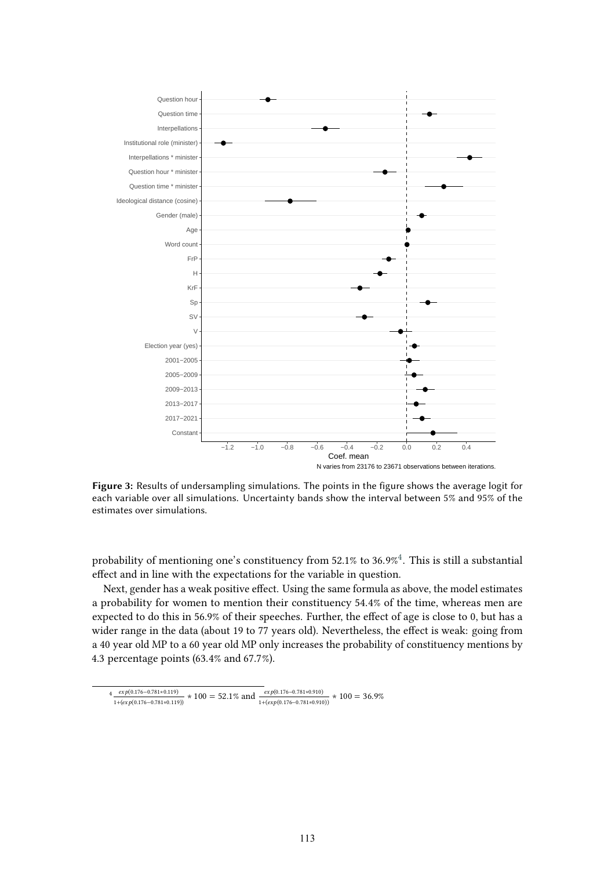

<span id="page-12-0"></span>**Figure 3:** Results of undersampling simulations. The points in the figure shows the average logit for each variable over all simulations. Uncertainty bands show the interval between 5% and 95% of the estimates over simulations.

probability of mentioning one's constituency from 52.1% to 36.9% $^4$  $^4$ . This is still a substantial effect and in line with the expectations for the variable in question.

Next, gender has a weak positive effect. Using the same formula as above, the model estimates a probability for women to mention their constituency 54.4% of the time, whereas men are expected to do this in 56.9% of their speeches. Further, the effect of age is close to 0, but has a wider range in the data (about 19 to 77 years old). Nevertheless, the effect is weak: going from a 40 year old MP to a 60 year old MP only increases the probability of constituency mentions by 4.3 percentage points (63.4% and 67.7%).

<span id="page-12-1"></span> $4 \frac{exp(0.176 - 0.781 * 0.119)}{}$  $\frac{exp(0.176-0.781*0.119)}{1+ (exp(0.176-0.781*0.119))} * 100 = 52.1\%$  and  $\frac{exp(0.176-0.781*0.910)}{1+ (exp(0.176-0.781*0.910))} * 100 = 36.9\%$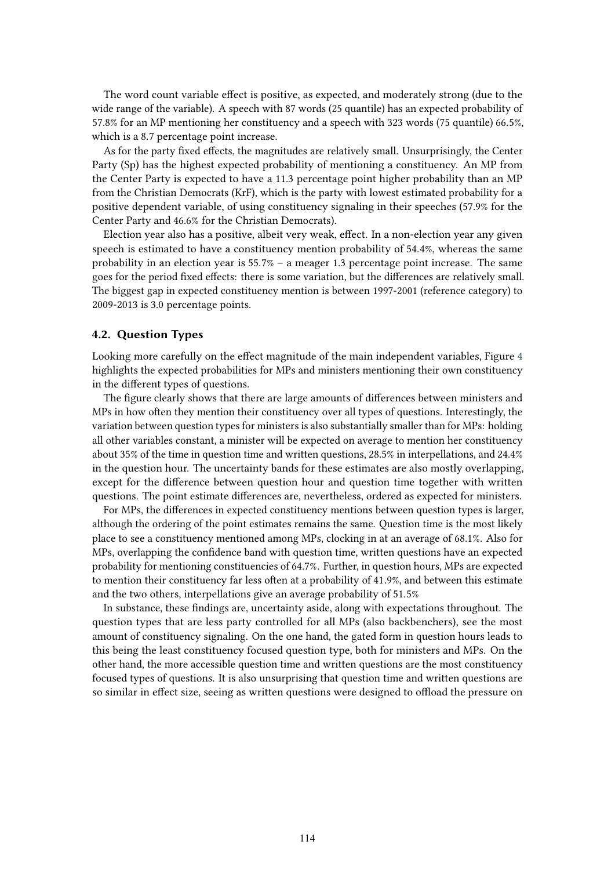The word count variable effect is positive, as expected, and moderately strong (due to the wide range of the variable). A speech with 87 words (25 quantile) has an expected probability of 57.8% for an MP mentioning her constituency and a speech with 323 words (75 quantile) 66.5%, which is a 8.7 percentage point increase.

As for the party fixed effects, the magnitudes are relatively small. Unsurprisingly, the Center Party (Sp) has the highest expected probability of mentioning a constituency. An MP from the Center Party is expected to have a 11.3 percentage point higher probability than an MP from the Christian Democrats (KrF), which is the party with lowest estimated probability for a positive dependent variable, of using constituency signaling in their speeches (57.9% for the Center Party and 46.6% for the Christian Democrats).

Election year also has a positive, albeit very weak, effect. In a non-election year any given speech is estimated to have a constituency mention probability of 54.4%, whereas the same probability in an election year is 55.7% – a meager 1.3 percentage point increase. The same goes for the period fixed effects: there is some variation, but the differences are relatively small. The biggest gap in expected constituency mention is between 1997-2001 (reference category) to 2009-2013 is 3.0 percentage points.

## **4.2. Question Types**

Looking more carefully on the effect magnitude of the main independent variables, Figure [4](#page-14-0) highlights the expected probabilities for MPs and ministers mentioning their own constituency in the different types of questions.

The figure clearly shows that there are large amounts of differences between ministers and MPs in how often they mention their constituency over all types of questions. Interestingly, the variation between question types for ministers is also substantially smaller than for MPs: holding all other variables constant, a minister will be expected on average to mention her constituency about 35% of the time in question time and written questions, 28.5% in interpellations, and 24.4% in the question hour. The uncertainty bands for these estimates are also mostly overlapping, except for the difference between question hour and question time together with written questions. The point estimate differences are, nevertheless, ordered as expected for ministers.

For MPs, the differences in expected constituency mentions between question types is larger, although the ordering of the point estimates remains the same. Question time is the most likely place to see a constituency mentioned among MPs, clocking in at an average of 68.1%. Also for MPs, overlapping the confidence band with question time, written questions have an expected probability for mentioning constituencies of 64.7%. Further, in question hours, MPs are expected to mention their constituency far less often at a probability of 41.9%, and between this estimate and the two others, interpellations give an average probability of 51.5%

In substance, these findings are, uncertainty aside, along with expectations throughout. The question types that are less party controlled for all MPs (also backbenchers), see the most amount of constituency signaling. On the one hand, the gated form in question hours leads to this being the least constituency focused question type, both for ministers and MPs. On the other hand, the more accessible question time and written questions are the most constituency focused types of questions. It is also unsurprising that question time and written questions are so similar in effect size, seeing as written questions were designed to offload the pressure on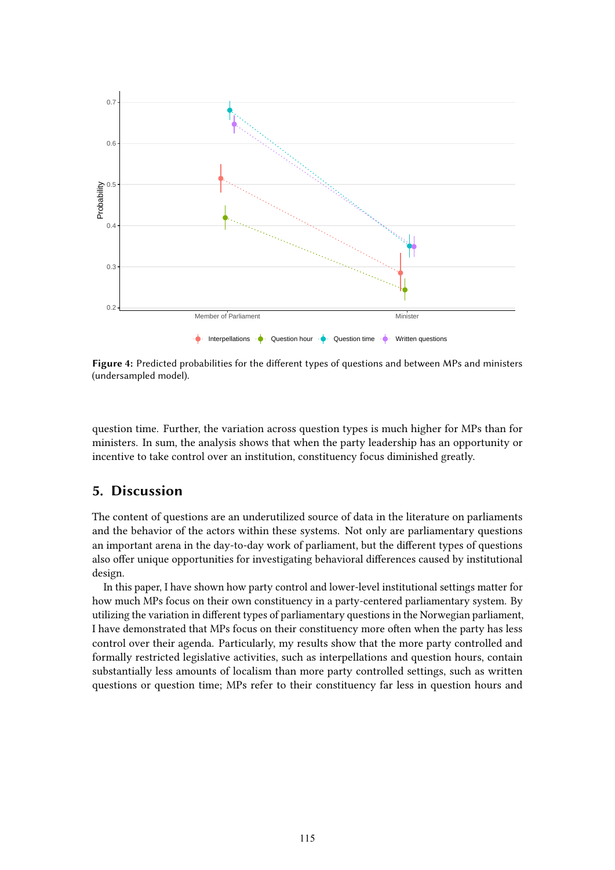

<span id="page-14-0"></span>**Figure 4:** Predicted probabilities for the different types of questions and between MPs and ministers (undersampled model).

question time. Further, the variation across question types is much higher for MPs than for ministers. In sum, the analysis shows that when the party leadership has an opportunity or incentive to take control over an institution, constituency focus diminished greatly.

# **5. Discussion**

The content of questions are an underutilized source of data in the literature on parliaments and the behavior of the actors within these systems. Not only are parliamentary questions an important arena in the day-to-day work of parliament, but the different types of questions also offer unique opportunities for investigating behavioral differences caused by institutional design.

In this paper, I have shown how party control and lower-level institutional settings matter for how much MPs focus on their own constituency in a party-centered parliamentary system. By utilizing the variation in different types of parliamentary questions in the Norwegian parliament, I have demonstrated that MPs focus on their constituency more often when the party has less control over their agenda. Particularly, my results show that the more party controlled and formally restricted legislative activities, such as interpellations and question hours, contain substantially less amounts of localism than more party controlled settings, such as written questions or question time; MPs refer to their constituency far less in question hours and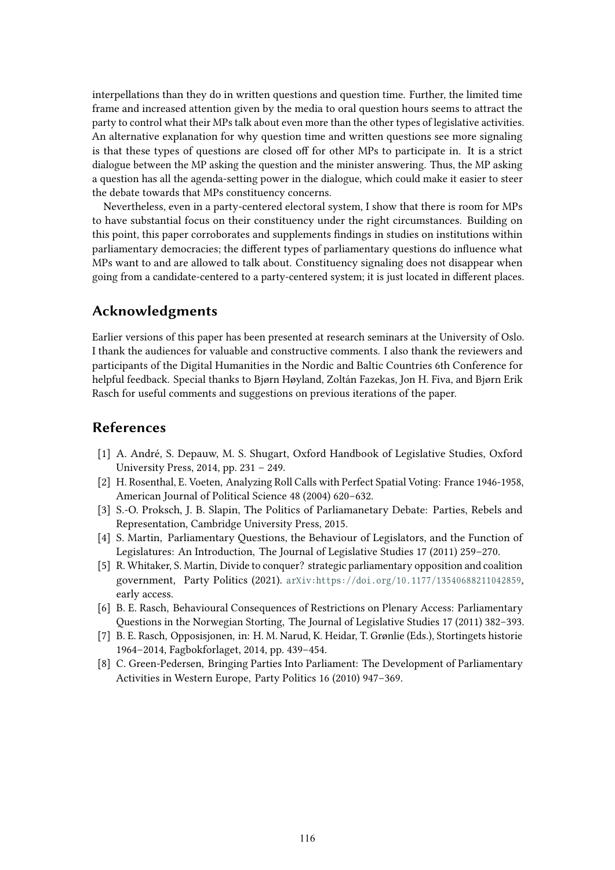interpellations than they do in written questions and question time. Further, the limited time frame and increased attention given by the media to oral question hours seems to attract the party to control what their MPs talk about even more than the other types of legislative activities. An alternative explanation for why question time and written questions see more signaling is that these types of questions are closed off for other MPs to participate in. It is a strict dialogue between the MP asking the question and the minister answering. Thus, the MP asking a question has all the agenda-setting power in the dialogue, which could make it easier to steer the debate towards that MPs constituency concerns.

Nevertheless, even in a party-centered electoral system, I show that there is room for MPs to have substantial focus on their constituency under the right circumstances. Building on this point, this paper corroborates and supplements findings in studies on institutions within parliamentary democracies; the different types of parliamentary questions do influence what MPs want to and are allowed to talk about. Constituency signaling does not disappear when going from a candidate-centered to a party-centered system; it is just located in different places.

# **Acknowledgments**

Earlier versions of this paper has been presented at research seminars at the University of Oslo. I thank the audiences for valuable and constructive comments. I also thank the reviewers and participants of the Digital Humanities in the Nordic and Baltic Countries 6th Conference for helpful feedback. Special thanks to Bjørn Høyland, Zoltán Fazekas, Jon H. Fiva, and Bjørn Erik Rasch for useful comments and suggestions on previous iterations of the paper.

# **References**

- <span id="page-15-0"></span>[1] A. André, S. Depauw, M. S. Shugart, Oxford Handbook of Legislative Studies, Oxford University Press, 2014, pp. 231 – 249.
- <span id="page-15-1"></span>[2] H. Rosenthal, E. Voeten, Analyzing Roll Calls with Perfect Spatial Voting: France 1946-1958, American Journal of Political Science 48 (2004) 620–632.
- <span id="page-15-2"></span>[3] S.-O. Proksch, J. B. Slapin, The Politics of Parliamanetary Debate: Parties, Rebels and Representation, Cambridge University Press, 2015.
- <span id="page-15-3"></span>[4] S. Martin, Parliamentary Questions, the Behaviour of Legislators, and the Function of Legislatures: An Introduction, The Journal of Legislative Studies 17 (2011) 259–270.
- <span id="page-15-4"></span>[5] R. Whitaker, S. Martin, Divide to conquer? strategic parliamentary opposition and coalition government, Party Politics (2021). arxiv:https://doi.org/10.1177/13540688211042859, early access.
- <span id="page-15-5"></span>[6] B. E. Rasch, Behavioural Consequences of Restrictions on Plenary Access: Parliamentary Questions in the Norwegian Storting, The Journal of Legislative Studies 17 (2011) 382–393.
- <span id="page-15-6"></span>[7] B. E. Rasch, Opposisjonen, in: H. M. Narud, K. Heidar, T. Grønlie (Eds.), Stortingets historie 1964–2014, Fagbokforlaget, 2014, pp. 439–454.
- <span id="page-15-7"></span>[8] C. Green-Pedersen, Bringing Parties Into Parliament: The Development of Parliamentary Activities in Western Europe, Party Politics 16 (2010) 947–369.